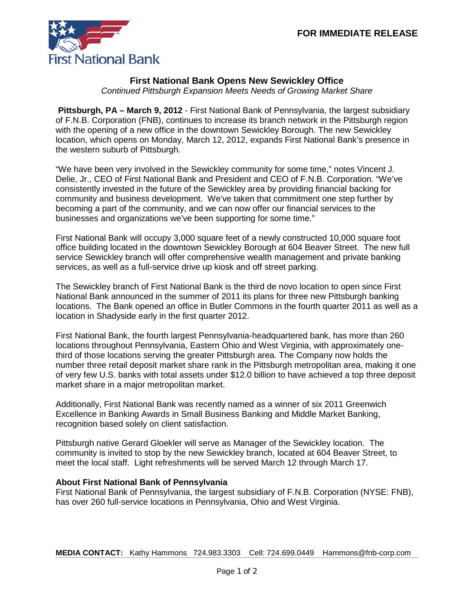

## **First National Bank Opens New Sewickley Office**

*Continued Pittsburgh Expansion Meets Needs of Growing Market Share*

**Pittsburgh, PA – March 9, 2012** - First National Bank of Pennsylvania, the largest subsidiary of F.N.B. Corporation (FNB), continues to increase its branch network in the Pittsburgh region with the opening of a new office in the downtown Sewickley Borough. The new Sewickley location, which opens on Monday, March 12, 2012, expands First National Bank's presence in the western suburb of Pittsburgh.

"We have been very involved in the Sewickley community for some time," notes Vincent J. Delie, Jr., CEO of First National Bank and President and CEO of F.N.B. Corporation. "We've consistently invested in the future of the Sewickley area by providing financial backing for community and business development. We've taken that commitment one step further by becoming a part of the community, and we can now offer our financial services to the businesses and organizations we've been supporting for some time."

First National Bank will occupy 3,000 square feet of a newly constructed 10,000 square foot office building located in the downtown Sewickley Borough at 604 Beaver Street. The new full service Sewickley branch will offer comprehensive wealth management and private banking services, as well as a full-service drive up kiosk and off street parking.

The Sewickley branch of First National Bank is the third de novo location to open since First National Bank announced in the summer of 2011 its plans for three new Pittsburgh banking locations. The Bank opened an office in Butler Commons in the fourth quarter 2011 as well as a location in Shadyside early in the first quarter 2012.

First National Bank, the fourth largest Pennsylvania-headquartered bank, has more than 260 locations throughout Pennsylvania, Eastern Ohio and West Virginia, with approximately onethird of those locations serving the greater Pittsburgh area. The Company now holds the number three retail deposit market share rank in the Pittsburgh metropolitan area, making it one of very few U.S. banks with total assets under \$12.0 billion to have achieved a top three deposit market share in a major metropolitan market.

Additionally, First National Bank was recently named as a winner of six 2011 Greenwich Excellence in Banking Awards in Small Business Banking and Middle Market Banking, recognition based solely on client satisfaction.

Pittsburgh native Gerard Gloekler will serve as Manager of the Sewickley location. The community is invited to stop by the new Sewickley branch, located at 604 Beaver Street, to meet the local staff. Light refreshments will be served March 12 through March 17.

## **About First National Bank of Pennsylvania**

First National Bank of Pennsylvania, the largest subsidiary of F.N.B. Corporation (NYSE: FNB), has over 260 full-service locations in Pennsylvania, Ohio and West Virginia.

**MEDIA CONTACT:** Kathy Hammons 724.983.3303 Cell: 724.699.0449 Hammons@fnb-corp.com